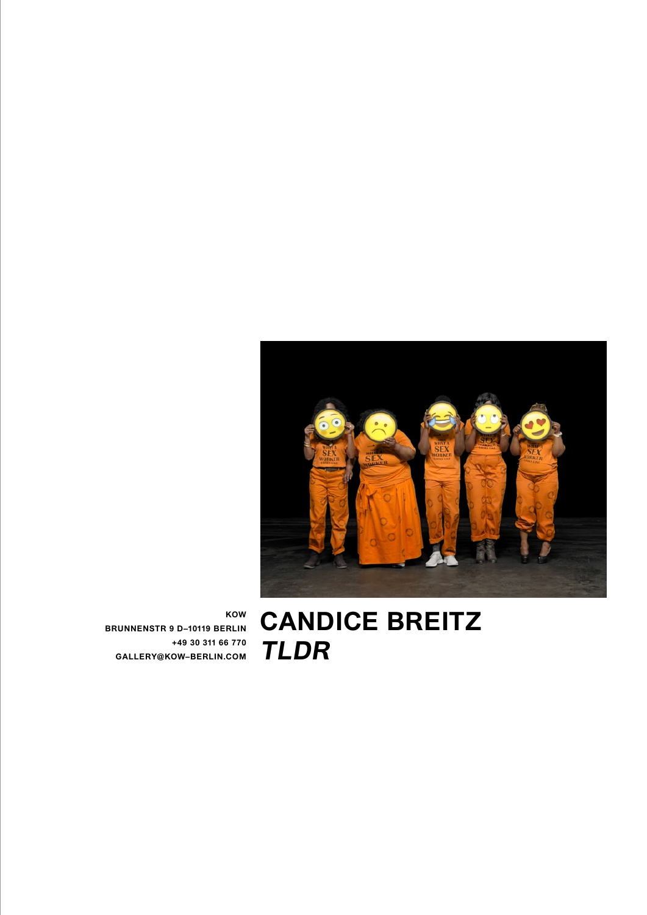

**Candice Breitz TLDR**

**KOW BRUNNENSTR 9 D–10119 BERLIN +49 30 311 66 770 GALLERY@KOW–BERLIN.COM**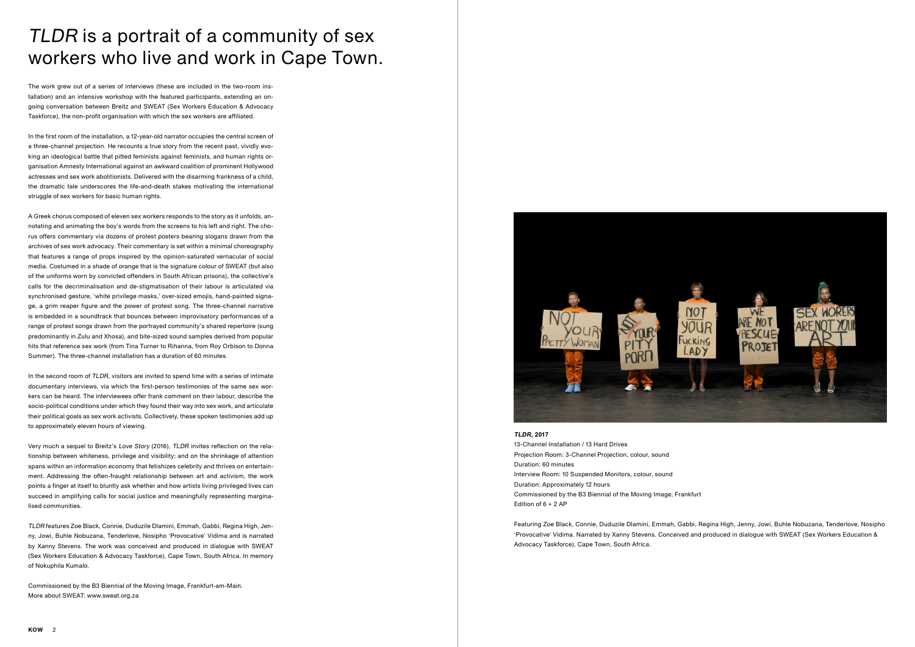The work grew out of a series of interviews (these are included in the two-room installation) and an intensive workshop with the featured participants, extending an ongoing conversation between Breitz and SWEAT (Sex Workers Education & Advocacy Taskforce), the non-profit organisation with which the sex workers are affiliated.

In the first room of the installation, a 12-year-old narrator occupies the central screen of a three-channel projection. He recounts a true story from the recent past, vividly evoking an ideological battle that pitted feminists against feminists, and human rights organisation Amnesty International against an awkward coalition of prominent Hollywood actresses and sex work abolitionists. Delivered with the disarming frankness of a child, the dramatic tale underscores the life-and-death stakes motivating the international struggle of sex workers for basic human rights.

A Greek chorus composed of eleven sex workers responds to the story as it unfolds, annotating and animating the boy's words from the screens to his left and right. The chorus offers commentary via dozens of protest posters bearing slogans drawn from the archives of sex work advocacy. Their commentary is set within a minimal choreography that features a range of props inspired by the opinion-saturated vernacular of social media. Costumed in a shade of orange that is the signature colour of SWEAT (but also of the uniforms worn by convicted offenders in South African prisons), the collective's calls for the decriminalisation and de-stigmatisation of their labour is articulated via synchronised gesture, 'white privilege masks,' over-sized emojis, hand-painted signage, a grim reaper figure and the power of protest song. The three-channel narrative is embedded in a soundtrack that bounces between improvisatory performances of a range of protest songs drawn from the portrayed community's shared repertoire (sung predominantly in Zulu and Xhosa), and bite-sized sound samples derived from popular hits that reference sex work (from Tina Turner to Rihanna, from Roy Orbison to Donna Summer). The three-channel installation has a duration of 60 minutes.

In the second room of TLDR, visitors are invited to spend time with a series of intimate documentary interviews, via which the first-person testimonies of the same sex workers can be heard. The interviewees offer frank comment on their labour, describe the socio-political conditions under which they found their way into sex work, and articulate their political goals as sex work activists. Collectively, these spoken testimonies add up to approximately eleven hours of viewing.

Very much a sequel to Breitz's Love Story (2016), TLDR invites reflection on the relationship between whiteness, privilege and visibility; and on the shrinkage of attention spans within an information economy that fetishizes celebrity and thrives on entertainment. Addressing the often-fraught relationship between art and activism, the work points a finger at itself to bluntly ask whether and how artists living privileged lives can succeed in amplifying calls for social justice and meaningfully representing marginalised communities.

TLDR features Zoe Black, Connie, Duduzile Dlamini, Emmah, Gabbi, Regina High, Jenny, Jowi, Buhle Nobuzana, Tenderlove, Nosipho 'Provocative' Vidima and is narrated by Xanny Stevens. The work was conceived and produced in dialogue with SWEAT (Sex Workers Education & Advocacy Taskforce), Cape Town, South Africa. In memory of Nokuphila Kumalo.

Commissioned by the B3 Biennial of the Moving Image, Frankfurt-am-Main. More about SWEAT: www.sweat.org.za



## TLDR is a portrait of a community of sex workers who live and work in Cape Town.

**TLDR, 2017**

13-Channel Installation / 13 Hard Drives Projection Room: 3-Channel Projection, colour, sound Duration: 60 minutes Interview Room: 10 Suspended Monitors, colour, sound Duration: Approximately 12 hours Commissioned by the B3 Biennial of the Moving Image, Frankfurt Edition of 6 + 2 AP

Featuring Zoe Black, Connie, Duduzile Dlamini, Emmah, Gabbi, Regina High, Jenny, Jowi, Buhle Nobuzana, Tenderlove, Nosipho 'Provocative' Vidima. Narrated by Xanny Stevens. Conceived and produced in dialogue with SWEAT (Sex Workers Education & Advocacy Taskforce), Cape Town, South Africa.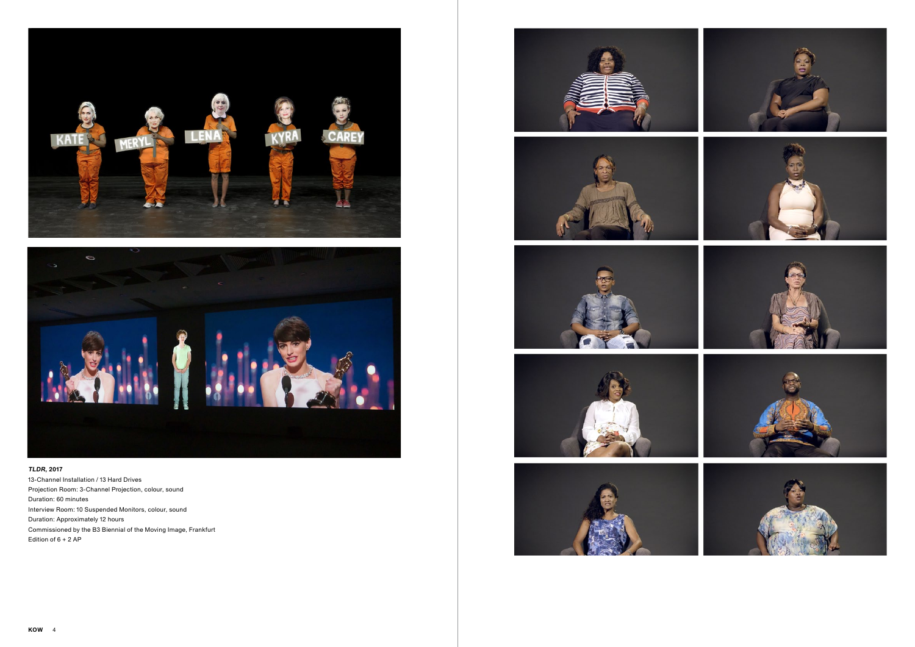





## **TLDR, 2017**

13-Channel Installation / 13 Hard Drives Projection Room: 3-Channel Projection, colour, sound Duration: 60 minutes Interview Room: 10 Suspended Monitors, colour, sound Duration: Approximately 12 hours Commissioned by the B3 Biennial of the Moving Image, Frankfurt Edition of 6 + 2 AP









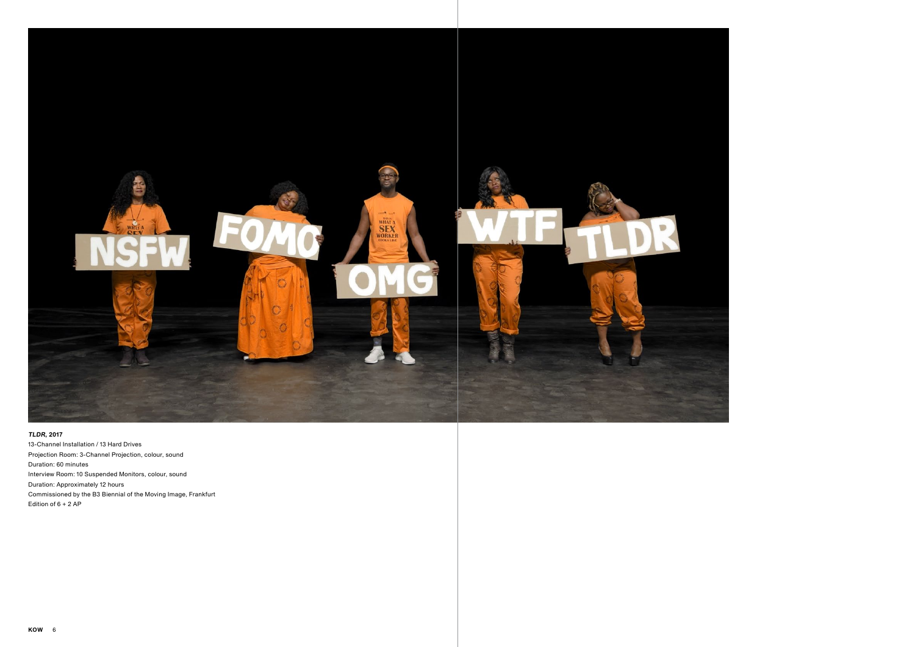



## **TLDR, 2017**

13-Channel Installation / 13 Hard Drives Projection Room: 3-Channel Projection, colour, sound Duration: 60 minutes Interview Room: 10 Suspended Monitors, colour, sound Duration: Approximately 12 hours Commissioned by the B3 Biennial of the Moving Image, Frankfurt Edition of 6 + 2 AP